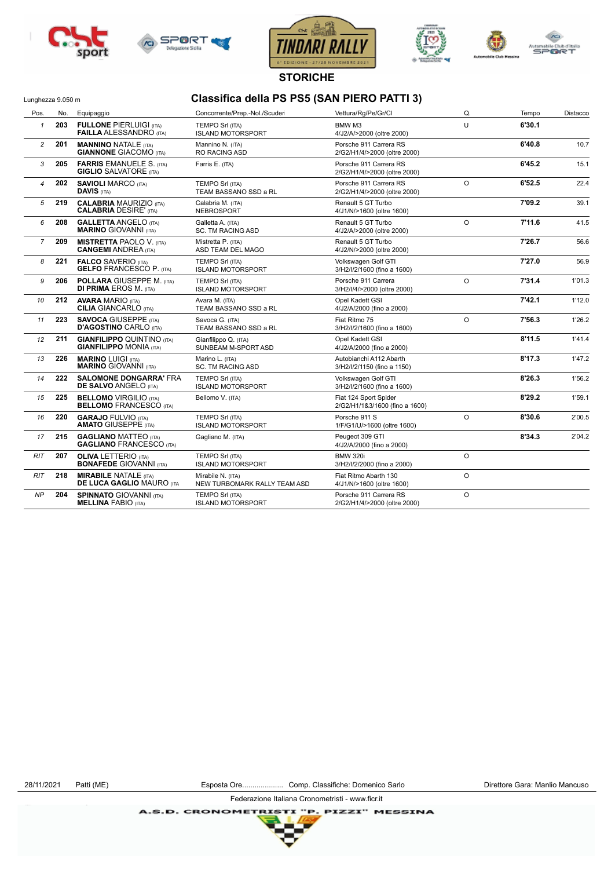







**STORICHE**

## Lunghezza 9.050 m<br> **Classifica della PS PS5 (SAN PIERO PATTI 3)**

| Pos.           | No. | Equipaggio                                                          | Concorrente/Prep.-Nol./Scuder                      | Vettura/Rg/Pe/Gr/Cl                                               | Q.      | Tempo  | Distacco |
|----------------|-----|---------------------------------------------------------------------|----------------------------------------------------|-------------------------------------------------------------------|---------|--------|----------|
| $\mathbf{1}$   | 203 | <b>FULLONE PIERLUIGI (ITA)</b><br><b>FAILLA ALESSANDRO (ITA)</b>    | <b>TEMPO Srl (ITA)</b><br><b>ISLAND MOTORSPORT</b> | U<br>BMW <sub>M3</sub><br>4/J2/A/>2000 (oltre 2000)               |         | 6'30.1 |          |
| $\overline{c}$ | 201 | <b>MANNINO NATALE (ITA)</b><br><b>GIANNONE GIACOMO (ITA)</b>        | Mannino N. (ITA)<br><b>RO RACING ASD</b>           | Porsche 911 Carrera RS<br>2/G2/H1/4/>2000 (oltre 2000)            |         | 6'40.8 | 10.7     |
| 3              | 205 | <b>FARRIS EMANUELE S. (ITA)</b><br><b>GIGLIO</b> SALVATORE (ITA)    | Farris E. (ITA)                                    | Porsche 911 Carrera RS<br>2/G2/H1/4/>2000 (oltre 2000)            |         | 6'45.2 | 15.1     |
| $\overline{4}$ | 202 | <b>SAVIOLI MARCO (ITA)</b><br><b>DAVIS (ITA)</b>                    | <b>TEMPO Srl (ITA)</b><br>TEAM BASSANO SSD a RL    | O<br>Porsche 911 Carrera RS<br>2/G2/H1/4/>2000 (oltre 2000)       |         | 6'52.5 | 22.4     |
| 5              | 219 | <b>CALABRIA MAURIZIO (ITA)</b><br><b>CALABRIA DESIRE' (ITA)</b>     | Calabria M. (ITA)<br>NEBROSPORT                    | Renault 5 GT Turbo<br>4/J1/N/>1600 (oltre 1600)                   |         | 7'09.2 | 39.1     |
| 6              | 208 | <b>GALLETTA ANGELO (ITA)</b><br><b>MARINO GIOVANNI (ITA)</b>        | Galletta A. (ITA)<br><b>SC. TM RACING ASD</b>      | $\circ$<br>Renault 5 GT Turbo<br>4/J2/A/>2000 (oltre 2000)        |         | 7'11.6 | 41.5     |
| $\overline{7}$ | 209 | <b>MISTRETTA PAOLO V. (ITA)</b><br><b>CANGEMI ANDREA (ITA)</b>      | Mistretta P. (ITA)<br>ASD TEAM DEL MAGO            | Renault 5 GT Turbo<br>4/J2/N/>2000 (oltre 2000)                   |         | 7'26.7 | 56.6     |
| 8              | 221 | <b>FALCO SAVERIO (ITA)</b><br><b>GELFO FRANCESCO P. (ITA)</b>       | <b>TEMPO Srl (ITA)</b><br><b>ISLAND MOTORSPORT</b> | Volkswagen Golf GTI<br>3/H2/I/2/1600 (fino a 1600)                |         | 7'27.0 | 56.9     |
| 9              | 206 | <b>POLLARA GIUSEPPE M. (ITA)</b><br><b>DI PRIMA EROS M. (ITA)</b>   | <b>TEMPO Srl (ITA)</b><br><b>ISLAND MOTORSPORT</b> | Porsche 911 Carrera<br>$\circ$<br>3/H2/I/4/>2000 (oltre 2000)     |         | 7'31.4 | 1'01.3   |
| 10             | 212 | <b>AVARA MARIO (ITA)</b><br><b>CILIA</b> GIANCARLO (ITA)            | Avara M. (ITA)<br>TEAM BASSANO SSD a RL            | Opel Kadett GSI<br>4/J2/A/2000 (fino a 2000)                      |         | 7'42.1 | 1'12.0   |
| 11             | 223 | <b>SAVOCA GIUSEPPE (ITA)</b><br><b>D'AGOSTINO CARLO (ITA)</b>       | Savoca G. (ITA)<br>TEAM BASSANO SSD a RL           | Fiat Ritmo 75<br>3/H2/I/2/1600 (fino a 1600)                      | $\circ$ |        | 1'26.2   |
| 12             | 211 | <b>GIANFILIPPO QUINTINO (ITA)</b><br><b>GIANFILIPPO MONIA (ITA)</b> | Gianfilippo Q. (ITA)<br>SUNBEAM M-SPORT ASD        | Opel Kadett GSI<br>4/J2/A/2000 (fino a 2000)                      |         |        | 1'41.4   |
| 13             | 226 | <b>MARINO LUIGI (ITA)</b><br><b>MARINO GIOVANNI (ITA)</b>           | Marino L. (ITA)<br><b>SC. TM RACING ASD</b>        | Autobianchi A112 Abarth<br>3/H2/I/2/1150 (fino a 1150)            |         |        | 1'47.2   |
| 14             | 222 | <b>SALOMONE DONGARRA' FRA</b><br><b>DE SALVO ANGELO (ITA)</b>       | <b>TEMPO Srl (ITA)</b><br><b>ISLAND MOTORSPORT</b> | Volkswagen Golf GTI<br>3/H2/I/2/1600 (fino a 1600)                |         |        | 1'56.2   |
| 15             | 225 | <b>BELLOMO VIRGILIO (ITA)</b><br><b>BELLOMO FRANCESCO (ITA)</b>     | Bellomo V. (ITA)                                   | Fiat 124 Sport Spider<br>2/G2/H1/1&3/1600 (fino a 1600)           |         | 8'29.2 | 1'59.1   |
| 16             | 220 | <b>GARAJO FULVIO (ITA)</b><br><b>AMATO GIUSEPPE (ITA)</b>           | <b>TEMPO Srl (ITA)</b><br><b>ISLAND MOTORSPORT</b> | O<br>Porsche 911 S<br>1/F/G1/U/>1600 (oltre 1600)                 |         | 8'30.6 | 2'00.5   |
| 17             | 215 | <b>GAGLIANO MATTEO (ITA)</b><br><b>GAGLIANO FRANCESCO (ITA)</b>     | Gagliano M. (ITA)                                  | Peugeot 309 GTI<br>4/J2/A/2000 (fino a 2000)                      |         | 8'34.3 | 2'04.2   |
| RIT            | 207 | <b>OLIVA LETTERIO (ITA)</b><br><b>BONAFEDE GIOVANNI (ITA)</b>       | <b>TEMPO Srl (ITA)</b><br><b>ISLAND MOTORSPORT</b> | <b>BMW 320i</b><br>3/H2/I/2/2000 (fino a 2000)                    | $\circ$ |        |          |
| <b>RIT</b>     | 218 | <b>MIRABILE NATALE (ITA)</b><br><b>DE LUCA GAGLIO MAURO (ITA</b>    | Mirabile N. (ITA)<br>NEW TURBOMARK RALLY TEAM ASD  | Fiat Ritmo Abarth 130<br>4/J1/N/>1600 (oltre 1600)                | O       |        |          |
| <b>NP</b>      | 204 | <b>SPINNATO GIOVANNI (ITA)</b><br><b>MELLINA FABIO (ITA)</b>        | <b>TEMPO Srl (ITA)</b><br><b>ISLAND MOTORSPORT</b> | $\circ$<br>Porsche 911 Carrera RS<br>2/G2/H1/4/>2000 (oltre 2000) |         |        |          |

Federazione Italiana Cronometristi - www.ficr.it

**A.S.D. CRONOMETRIS** P. PIZZI" MESSINA ŦХ

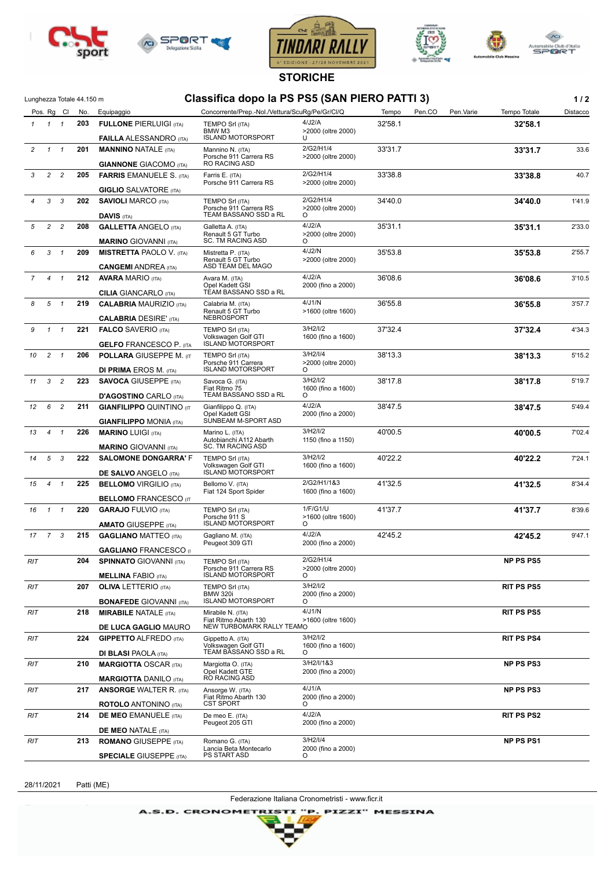







**STORICHE**

| Lunghezza Totale 44.150 m |  |
|---------------------------|--|

## Lunghezza Totale 44.150 m **Classifica dopo la PS PS5 (SAN PIERO PATTI 3) 1 / 2**

ie Dub d'Italia<br><mark>©l</mark>i≷ T

|              |                | Pos. Rg Cl     | Lungnezza Totale 44.150 m<br>No. | Equipaggio                                                     | UIASSIIIUA UUPU IA FU FUU (UAIV FILINU FATTI U)<br>Concorrente/Prep.-Nol./Vettura/ScuRg/Pe/Gr/Cl/Q |                                      | Pen.CO<br>Tempo | Tempo Totale<br>Pen.Varie | 1 <i>I</i> 4<br>Distacco |
|--------------|----------------|----------------|----------------------------------|----------------------------------------------------------------|----------------------------------------------------------------------------------------------------|--------------------------------------|-----------------|---------------------------|--------------------------|
| $\mathbf{1}$ | $1 \quad 1$    |                | 203                              |                                                                | <b>TEMPO Srl (ITA)</b>                                                                             | 4/J2/A                               | 32'58.1         | 32'58.1                   |                          |
|              |                |                |                                  | <b>FULLONE PIERLUIGI (ITA)</b>                                 | BMW M3                                                                                             | >2000 (oltre 2000)                   |                 |                           |                          |
|              |                |                |                                  | <b>FAILLA ALESSANDRO</b> (ITA)                                 | <b>ISLAND MOTORSPORT</b>                                                                           | U<br>2/G2/H1/4                       |                 |                           |                          |
| 2            | $\mathbf{1}$   | $\mathbf{1}$   | 201                              | <b>MANNINO NATALE (ITA)</b><br><b>GIANNONE GIACOMO (ITA)</b>   | Mannino N. (ITA)<br>Porsche 911 Carrera RS<br>RO RACING ASD                                        | >2000 (oltre 2000)                   | 33'31.7         | 33'31.7                   | 33.6                     |
| 3            | $\overline{a}$ | $\overline{c}$ | 205                              |                                                                | Farris E. (ITA)                                                                                    | 2/G2/H1/4                            | 33'38.8         |                           | 40.7                     |
|              |                |                |                                  | <b>FARRIS EMANUELE S. (ITA)</b>                                | Porsche 911 Carrera RS                                                                             | >2000 (oltre 2000)                   |                 | 33'38.8                   |                          |
|              |                |                |                                  | <b>GIGLIO</b> SALVATORE (ITA)                                  |                                                                                                    |                                      |                 |                           |                          |
| 4            | 3              | 3              | 202                              | <b>SAVIOLI MARCO (ITA)</b><br><b>DAVIS (ITA)</b>               | TEMPO Srl (ITA)<br>Porsche 911 Carrera RS<br>TEAM BASSANO SSD a RL                                 | 2/G2/H1/4<br>>2000 (oltre 2000)<br>O | 34'40.0         | 34'40.0                   | 1'41.9                   |
| 5            | $\overline{a}$ | $\overline{c}$ | 208                              | <b>GALLETTA ANGELO (ITA)</b>                                   |                                                                                                    | 4/J2/A                               | 35'31.1         |                           | 2'33.0                   |
|              |                |                |                                  | <b>MARINO GIOVANNI (ITA)</b>                                   | Galletta A. (ITA)<br>Renault 5 GT Turbo<br><b>SC. TM RACING ASD</b>                                | >2000 (oltre 2000)<br>O              |                 | 35'31.1                   |                          |
| 6            | 3              | $\overline{1}$ | 209                              |                                                                |                                                                                                    | 4/J2/N                               | 35'53.8         |                           |                          |
|              |                |                |                                  | <b>MISTRETTA PAOLO V. (ITA)</b><br><b>CANGEMI</b> ANDREA (ITA) | Mistretta P. (ITA)<br>Renault 5 GT Turbo<br>ASD TEAM DEL MAGO                                      | >2000 (oltre 2000)                   |                 | 35'53.8                   | 2'55.7                   |
| 7            | 4              | $\mathbf{1}$   | 212                              | <b>AVARA MARIO (ITA)</b>                                       | Avara M. (ITA)                                                                                     | 4/J2/A                               | 36'08.6         | 36'08.6                   | 3'10.5                   |
|              |                |                |                                  | <b>CILIA GIANCARLO (ITA)</b>                                   | Opel Kadett GSI<br>TÉAM BASSANO SSD a RL                                                           | 2000 (fino a 2000)                   |                 |                           |                          |
| 8            | 5              | $\overline{1}$ | 219                              | <b>CALABRIA MAURIZIO (ITA)</b>                                 | Calabria M. (ITA)                                                                                  | 4/J1/N                               | 36'55.8         | 36'55.8                   | 3'57.7                   |
|              |                |                |                                  | <b>CALABRIA DESIRE' (ITA)</b>                                  | Renault 5 GT Turbo<br>NEBROSPORT                                                                   | >1600 (oltre 1600)                   |                 |                           |                          |
| 9            | $\mathbf{1}$   | $\overline{1}$ | 221                              | <b>FALCO SAVERIO (ITA)</b>                                     | TEMPO Srl (ITA)                                                                                    | 3/H2/I/2                             | 37'32.4         | 37'32.4                   | 4'34.3                   |
|              |                |                |                                  | <b>GELFO FRANCESCO P. (ITA</b>                                 | Volkswagen Golf GTI<br><b>ISLAND MOTORSPORT</b>                                                    | 1600 (fino a 1600)                   |                 |                           |                          |
| 10           | $2 \quad 1$    |                | 206                              | <b>POLLARA GIUSEPPE M. (IT)</b>                                | <b>TEMPO Srl (ITA)</b>                                                                             | 3/H2/1/4                             | 38'13.3         | 38'13.3                   | 5'15.2                   |
|              |                |                |                                  | <b>DI PRIMA EROS M. (ITA)</b>                                  | Porsche 911 Carrera<br><b>ISLAND MOTORSPORT</b>                                                    | >2000 (oltre 2000)<br>O              |                 |                           |                          |
| 11           | 3 <sup>1</sup> | $\overline{c}$ | 223                              | <b>SAVOCA GIUSEPPE (ITA)</b>                                   | Savoca G. (ITA)                                                                                    | 3/H2/I/2                             | 38'17.8         | 38'17.8                   | 5'19.7                   |
|              |                |                |                                  | <b>D'AGOSTINO CARLO (ITA)</b>                                  | Fiat Ritmo 75<br>TEAM BASSANO SSD a RL                                                             | 1600 (fino a 1600)<br>O              |                 |                           |                          |
| 12           | 6              | $\overline{c}$ | 211                              | <b>GIANFILIPPO QUINTINO (IT</b>                                | Gianfilippo Q. (ITA)                                                                               | 4/J2/A                               | 38'47.5         | 38'47.5                   | 5'49.4                   |
|              |                |                |                                  | <b>GIANFILIPPO MONIA (ITA)</b>                                 | Opel Kadett GSI<br>SUNBEAM M-SPORT ASD                                                             | 2000 (fino a 2000)                   |                 |                           |                          |
| 13           | $\overline{4}$ | $\mathbf{1}$   | 226                              | <b>MARINO LUIGI (ITA)</b>                                      | Marino L. (ITA)                                                                                    | 3/H2/I/2                             | 40'00.5         | 40'00.5                   | 7'02.4                   |
|              |                |                |                                  |                                                                | Autobianchi A112 Abarth<br>SC. TM RACING ASD                                                       | 1150 (fino a 1150)                   |                 |                           |                          |
| 14           | 5              | 3              | 222                              | <b>MARINO GIOVANNI (ITA)</b><br><b>SALOMONE DONGARRA' F</b>    | <b>TEMPO Srl (ITA)</b>                                                                             | 3/H2/I/2                             | 40'22.2         |                           | 7'24.1                   |
|              |                |                |                                  |                                                                | Volkswagen Golf GTI                                                                                | 1600 (fino a 1600)                   |                 | 40'22.2                   |                          |
|              |                |                |                                  | <b>DE SALVO ANGELO (ITA)</b>                                   | <b>ISLAND MOTORSPORT</b>                                                                           |                                      |                 |                           |                          |
| 15           | 4              | $\mathbf{1}$   | 225                              | <b>BELLOMO VIRGILIO (ITA)</b>                                  | Bellomo V. (ITA)<br>Fiat 124 Sport Spider                                                          | 2/G2/H1/1&3<br>1600 (fino a 1600)    | 41'32.5         | 41'32.5                   | 8'34.4                   |
|              |                |                |                                  | <b>BELLOMO FRANCESCO (IT</b>                                   |                                                                                                    |                                      |                 |                           |                          |
| 16           | $\mathcal{I}$  | $\overline{1}$ | 220                              | <b>GARAJO FULVIO (ITA)</b>                                     | TEMPO Srl (ITA)                                                                                    | 1/F/G1/U                             | 41'37.7         | 41'37.7                   | 8'39.6                   |
|              |                |                |                                  | <b>AMATO GIUSEPPE (ITA)</b>                                    | Porsche 911 S<br><b>ISLAND MOTORSPORT</b>                                                          | >1600 (oltre 1600)<br>O              |                 |                           |                          |
| 17           | 7 3            |                | 215                              | <b>GAGLIANO MATTEO (ITA)</b>                                   | Gagliano M. (ITA)                                                                                  | 4/J2/A                               | 42'45.2         | 42'45.2                   | 9'47.1                   |
|              |                |                |                                  | <b>GAGLIANO FRANCESCO</b> (I)                                  | Peugeot 309 GTI                                                                                    | 2000 (fino a 2000)                   |                 |                           |                          |
| RIT          |                |                | 204                              | <b>SPINNATO GIOVANNI (ITA)</b>                                 | <b>TEMPO Srl (ITA)</b>                                                                             | 2/G2/H1/4                            |                 | <b>NP PS PS5</b>          |                          |
|              |                |                |                                  | <b>MELLINA FABIO (ITA)</b>                                     | Porsche 911 Carrera RS<br><b>ISLAND MOTORSPORT</b>                                                 | >2000 (oltre 2000)<br>O              |                 |                           |                          |
| RIT          |                |                | 207                              | <b>OLIVA LETTERIO</b> (ITA)                                    | TEMPO Srl (ITA)                                                                                    | 3/H2/I/2                             |                 | <b>RIT PS PS5</b>         |                          |
|              |                |                |                                  |                                                                | <b>BMW 320i</b><br><b>ISLAND MOTORSPORT</b>                                                        | 2000 (fino a 2000)<br>O              |                 |                           |                          |
| RIT          |                |                | 218                              | <b>BONAFEDE GIOVANNI (ITA)</b><br><b>MIRABILE NATALE (ITA)</b> | Mirabile N. (ITA)                                                                                  | 4/J1/N                               |                 | <b>RIT PS PS5</b>         |                          |
|              |                |                |                                  |                                                                | Fiat Ritmo Abarth 130                                                                              | >1600 (oltre 1600)                   |                 |                           |                          |
|              |                |                |                                  | DE LUCA GAGLIO MAURO                                           | NEW TURBOMARK RALLY TEAMO                                                                          | 3/H2/I/2                             |                 |                           |                          |
| RIT          |                |                | 224                              | <b>GIPPETTO ALFREDO (ITA)</b>                                  | Gippetto A. (ITA)<br>Volkswagen Golf GTI                                                           | 1600 (fino a 1600)                   |                 | <b>RIT PS PS4</b>         |                          |
|              |                |                |                                  | <b>DI BLASI PAOLA (ITA)</b>                                    | TEAM BASSANO SSD a RL                                                                              | $\circ$                              |                 |                           |                          |
| RIT          |                |                | 210                              | <b>MARGIOTTA OSCAR (ITA)</b>                                   | Margiotta O. (ITA)<br>Opel Kadett GTE                                                              | 3/H2/I/1&3<br>2000 (fino a 2000)     |                 | <b>NP PS PS3</b>          |                          |
|              |                |                |                                  | <b>MARGIOTTA DANILO (ITA)</b>                                  | RO RACING ASD                                                                                      |                                      |                 |                           |                          |
| RIT          |                |                | 217                              | <b>ANSORGE WALTER R. (ITA)</b>                                 | Ansorge W. (ITA)<br>Fiat Ritmo Abarth 130<br><b>CST SPORT</b>                                      | 4/J1/A<br>2000 (fino a 2000)<br>O    |                 | <b>NP PS PS3</b>          |                          |
| RIT          |                |                | 214                              | <b>ROTOLO ANTONINO (ITA)</b>                                   | De meo E. (ITA)                                                                                    | 4/J2/A                               |                 | <b>RIT PS PS2</b>         |                          |
|              |                |                |                                  | <b>DE MEO EMANUELE</b> (ITA)                                   | Peugeot 205 GTI                                                                                    | 2000 (fino a 2000)                   |                 |                           |                          |
|              |                |                |                                  | <b>DE MEO NATALE (ITA)</b>                                     |                                                                                                    | 3/H2/I/4                             |                 |                           |                          |
| RIT          |                |                | 213                              | <b>ROMANO</b> GIUSEPPE (ITA)                                   | Romano G. (ITA)<br>Lancia Beta Montecarlo                                                          | 2000 (fino a 2000)                   |                 | <b>NP PS PS1</b>          |                          |
|              |                |                |                                  | <b>SPECIALE GIUSEPPE (ITA)</b>                                 | PS START ASD                                                                                       | O                                    |                 |                           |                          |

28/11/2021 Patti (ME)

Federazione Italiana Cronometristi - www.ficr.it

A.S.D. CRONOMETRISTI "P. PIZZI" MESSINA